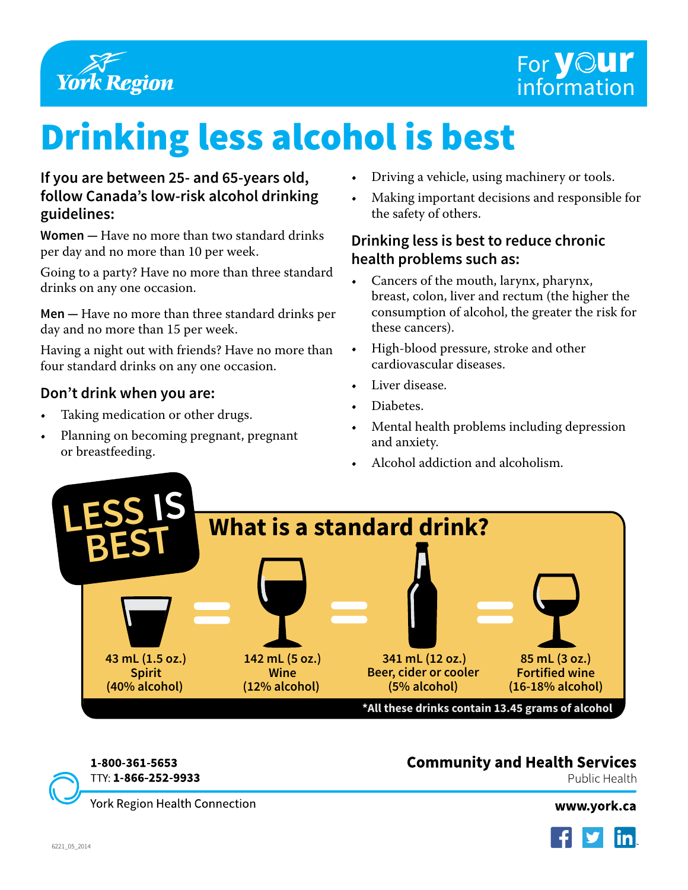

# Drinking less alcohol is best

#### **If you are between 25- and 65-years old, follow Canada's low-risk alcohol drinking guidelines:**

**Women —** Have no more than two standard drinks per day and no more than 10 per week.

Going to a party? Have no more than three standard drinks on any one occasion.

**Men —** Have no more than three standard drinks per day and no more than 15 per week.

Having a night out with friends? Have no more than four standard drinks on any one occasion.

#### **Don't drink when you are:**

- Taking medication or other drugs.
- Planning on becoming pregnant, pregnant or breastfeeding.
- Driving a vehicle, using machinery or tools.
- Making important decisions and responsible for the safety of others.

#### **Drinking less is best to reduce chronic health problems such as:**

- Cancers of the mouth, larynx, pharynx, breast, colon, liver and rectum (the higher the consumption of alcohol, the greater the risk for these cancers).
- High-blood pressure, stroke and other cardiovascular diseases.
- Liver disease.
- Diabetes.
- Mental health problems including depression and anxiety.
- Alcohol addiction and alcoholism.



## Community and Health Services

Public Health

TlY: 1-866-252-9933

1-800-361-5653

York Region Health Connection

[www.york.ca](http://www.york.ca)